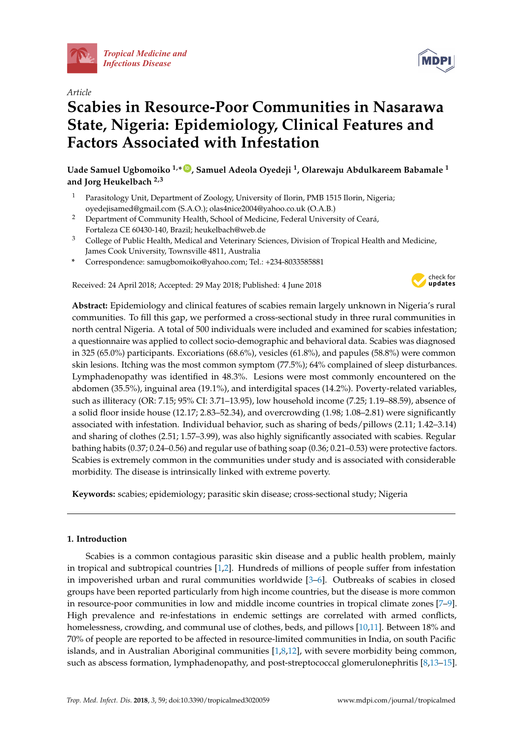

*Article*

# **Scabies in Resource-Poor Communities in Nasarawa State, Nigeria: Epidemiology, Clinical Features and Factors Associated with Infestation**

**Uade Samuel Ugbomoiko 1,\* [ID](https://orcid.org/0000-0001-9027-9209) , Samuel Adeola Oyedeji <sup>1</sup> , Olarewaju Abdulkareem Babamale <sup>1</sup> and Jorg Heukelbach 2,3**

- <sup>1</sup> Parasitology Unit, Department of Zoology, University of Ilorin, PMB 1515 Ilorin, Nigeria; oyedejisamed@gmail.com (S.A.O.); olas4nice2004@yahoo.co.uk (O.A.B.)
- <sup>2</sup> Department of Community Health, School of Medicine, Federal University of Ceará, Fortaleza CE 60430-140, Brazil; heukelbach@web.de
- <sup>3</sup> College of Public Health, Medical and Veterinary Sciences, Division of Tropical Health and Medicine, James Cook University, Townsville 4811, Australia
- **\*** Correspondence: samugbomoiko@yahoo.com; Tel.: +234-8033585881

Received: 24 April 2018; Accepted: 29 May 2018; Published: 4 June 2018



**Abstract:** Epidemiology and clinical features of scabies remain largely unknown in Nigeria's rural communities. To fill this gap, we performed a cross-sectional study in three rural communities in north central Nigeria. A total of 500 individuals were included and examined for scabies infestation; a questionnaire was applied to collect socio-demographic and behavioral data. Scabies was diagnosed in 325 (65.0%) participants. Excoriations (68.6%), vesicles (61.8%), and papules (58.8%) were common skin lesions. Itching was the most common symptom (77.5%); 64% complained of sleep disturbances. Lymphadenopathy was identified in 48.3%. Lesions were most commonly encountered on the abdomen (35.5%), inguinal area (19.1%), and interdigital spaces (14.2%). Poverty-related variables, such as illiteracy (OR: 7.15; 95% CI: 3.71–13.95), low household income (7.25; 1.19–88.59), absence of a solid floor inside house (12.17; 2.83–52.34), and overcrowding (1.98; 1.08–2.81) were significantly associated with infestation. Individual behavior, such as sharing of beds/pillows (2.11; 1.42–3.14) and sharing of clothes (2.51; 1.57–3.99), was also highly significantly associated with scabies. Regular bathing habits (0.37; 0.24–0.56) and regular use of bathing soap (0.36; 0.21–0.53) were protective factors. Scabies is extremely common in the communities under study and is associated with considerable morbidity. The disease is intrinsically linked with extreme poverty.

**Keywords:** scabies; epidemiology; parasitic skin disease; cross-sectional study; Nigeria

# **1. Introduction**

Scabies is a common contagious parasitic skin disease and a public health problem, mainly in tropical and subtropical countries [\[1,](#page-8-0)[2\]](#page-8-1). Hundreds of millions of people suffer from infestation in impoverished urban and rural communities worldwide [\[3](#page-8-2)[–6\]](#page-8-3). Outbreaks of scabies in closed groups have been reported particularly from high income countries, but the disease is more common in resource-poor communities in low and middle income countries in tropical climate zones [\[7–](#page-8-4)[9\]](#page-8-5). High prevalence and re-infestations in endemic settings are correlated with armed conflicts, homelessness, crowding, and communal use of clothes, beds, and pillows [\[10,](#page-8-6)[11\]](#page-8-7). Between 18% and 70% of people are reported to be affected in resource-limited communities in India, on south Pacific islands, and in Australian Aboriginal communities  $[1,8,12]$  $[1,8,12]$  $[1,8,12]$ , with severe morbidity being common, such as abscess formation, lymphadenopathy, and post-streptococcal glomerulonephritis [\[8,](#page-8-8)[13–](#page-8-10)[15\]](#page-8-11).

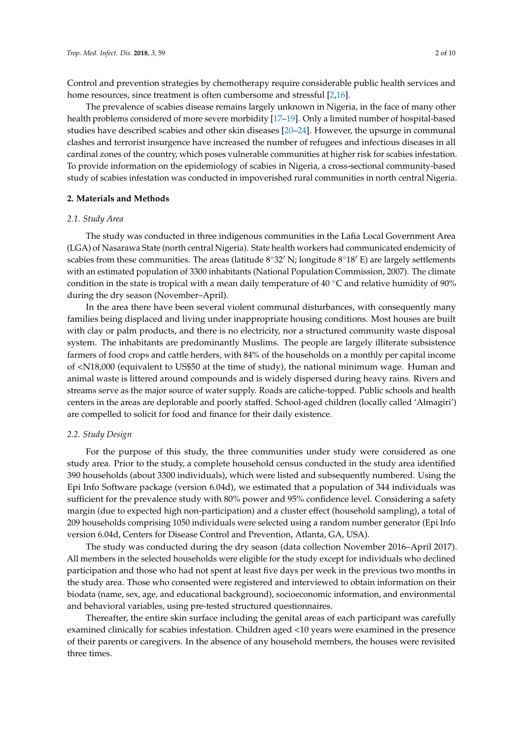Control and prevention strategies by chemotherapy require considerable public health services and home resources, since treatment is often cumbersome and stressful [\[2,](#page-8-1)[16\]](#page-8-12).

The prevalence of scabies disease remains largely unknown in Nigeria, in the face of many other health problems considered of more severe morbidity [\[17](#page-8-13)[–19\]](#page-8-14). Only a limited number of hospital-based studies have described scabies and other skin diseases [\[20–](#page-8-15)[24\]](#page-9-0). However, the upsurge in communal clashes and terrorist insurgence have increased the number of refugees and infectious diseases in all cardinal zones of the country, which poses vulnerable communities at higher risk for scabies infestation. To provide information on the epidemiology of scabies in Nigeria, a cross-sectional community-based study of scabies infestation was conducted in impoverished rural communities in north central Nigeria.

#### **2. Materials and Methods**

#### *2.1. Study Area*

The study was conducted in three indigenous communities in the Lafia Local Government Area (LGA) of Nasarawa State (north central Nigeria). State health workers had communicated endemicity of scabies from these communities. The areas (latitude  $8°32'$  N; longitude  $8°18'$  E) are largely settlements with an estimated population of 3300 inhabitants (National Population Commission, 2007). The climate condition in the state is tropical with a mean daily temperature of 40  $°C$  and relative humidity of 90% during the dry season (November–April).

In the area there have been several violent communal disturbances, with consequently many families being displaced and living under inappropriate housing conditions. Most houses are built with clay or palm products, and there is no electricity, nor a structured community waste disposal system. The inhabitants are predominantly Muslims. The people are largely illiterate subsistence farmers of food crops and cattle herders, with 84% of the households on a monthly per capital income of <N18,000 (equivalent to US\$50 at the time of study), the national minimum wage. Human and animal waste is littered around compounds and is widely dispersed during heavy rains. Rivers and streams serve as the major source of water supply. Roads are caliche-topped. Public schools and health centers in the areas are deplorable and poorly staffed. School-aged children (locally called 'Almagiri') are compelled to solicit for food and finance for their daily existence.

#### *2.2. Study Design*

For the purpose of this study, the three communities under study were considered as one study area. Prior to the study, a complete household census conducted in the study area identified 390 households (about 3300 individuals), which were listed and subsequently numbered. Using the Epi Info Software package (version 6.04d), we estimated that a population of 344 individuals was sufficient for the prevalence study with 80% power and 95% confidence level. Considering a safety margin (due to expected high non-participation) and a cluster effect (household sampling), a total of 209 households comprising 1050 individuals were selected using a random number generator (Epi Info version 6.04d, Centers for Disease Control and Prevention, Atlanta, GA, USA).

The study was conducted during the dry season (data collection November 2016–April 2017). All members in the selected households were eligible for the study except for individuals who declined participation and those who had not spent at least five days per week in the previous two months in the study area. Those who consented were registered and interviewed to obtain information on their biodata (name, sex, age, and educational background), socioeconomic information, and environmental and behavioral variables, using pre-tested structured questionnaires.

Thereafter, the entire skin surface including the genital areas of each participant was carefully examined clinically for scabies infestation. Children aged <10 years were examined in the presence of their parents or caregivers. In the absence of any household members, the houses were revisited three times.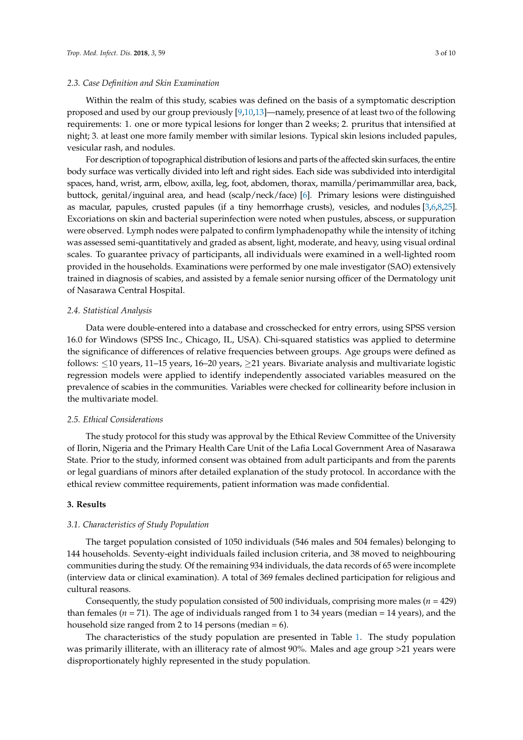#### *2.3. Case Definition and Skin Examination*

Within the realm of this study, scabies was defined on the basis of a symptomatic description proposed and used by our group previously [\[9,](#page-8-5)[10,](#page-8-6)[13\]](#page-8-10)—namely, presence of at least two of the following requirements: 1. one or more typical lesions for longer than 2 weeks; 2. pruritus that intensified at night; 3. at least one more family member with similar lesions. Typical skin lesions included papules, vesicular rash, and nodules.

For description of topographical distribution of lesions and parts of the affected skin surfaces, the entire body surface was vertically divided into left and right sides. Each side was subdivided into interdigital spaces, hand, wrist, arm, elbow, axilla, leg, foot, abdomen, thorax, mamilla/perimammillar area, back, buttock, genital/inguinal area, and head (scalp/neck/face) [\[6\]](#page-8-3). Primary lesions were distinguished as macular, papules, crusted papules (if a tiny hemorrhage crusts), vesicles, and nodules [\[3](#page-8-2)[,6](#page-8-3)[,8](#page-8-8)[,25\]](#page-9-1). Excoriations on skin and bacterial superinfection were noted when pustules, abscess, or suppuration were observed. Lymph nodes were palpated to confirm lymphadenopathy while the intensity of itching was assessed semi-quantitatively and graded as absent, light, moderate, and heavy, using visual ordinal scales. To guarantee privacy of participants, all individuals were examined in a well-lighted room provided in the households. Examinations were performed by one male investigator (SAO) extensively trained in diagnosis of scabies, and assisted by a female senior nursing officer of the Dermatology unit of Nasarawa Central Hospital.

#### *2.4. Statistical Analysis*

Data were double-entered into a database and crosschecked for entry errors, using SPSS version 16.0 for Windows (SPSS Inc., Chicago, IL, USA). Chi-squared statistics was applied to determine the significance of differences of relative frequencies between groups. Age groups were defined as follows: ≤10 years, 11–15 years, 16–20 years, ≥21 years. Bivariate analysis and multivariate logistic regression models were applied to identify independently associated variables measured on the prevalence of scabies in the communities. Variables were checked for collinearity before inclusion in the multivariate model.

#### *2.5. Ethical Considerations*

The study protocol for this study was approval by the Ethical Review Committee of the University of Ilorin, Nigeria and the Primary Health Care Unit of the Lafia Local Government Area of Nasarawa State. Prior to the study, informed consent was obtained from adult participants and from the parents or legal guardians of minors after detailed explanation of the study protocol. In accordance with the ethical review committee requirements, patient information was made confidential.

## **3. Results**

#### *3.1. Characteristics of Study Population*

The target population consisted of 1050 individuals (546 males and 504 females) belonging to 144 households. Seventy-eight individuals failed inclusion criteria, and 38 moved to neighbouring communities during the study. Of the remaining 934 individuals, the data records of 65 were incomplete (interview data or clinical examination). A total of 369 females declined participation for religious and cultural reasons.

Consequently, the study population consisted of 500 individuals, comprising more males (*n* = 429) than females ( $n = 71$ ). The age of individuals ranged from 1 to 34 years (median = 14 years), and the household size ranged from 2 to 14 persons (median  $= 6$ ).

The characteristics of the study population are presented in Table [1.](#page-3-0) The study population was primarily illiterate, with an illiteracy rate of almost 90%. Males and age group >21 years were disproportionately highly represented in the study population.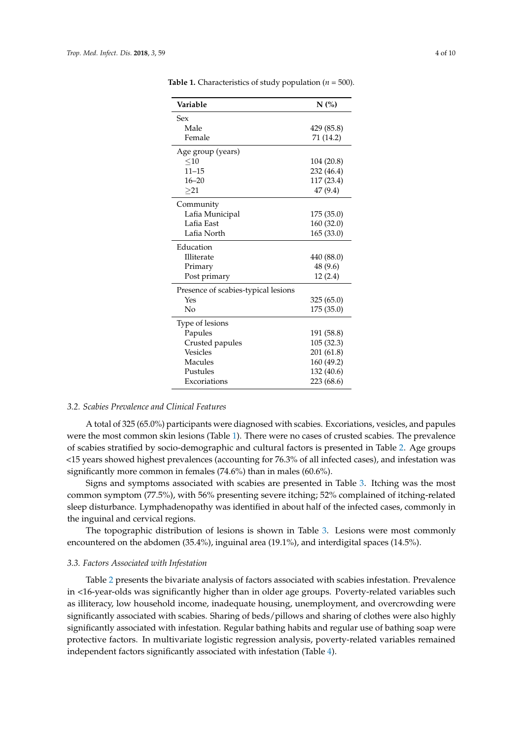| Variable                            | N(%)       |
|-------------------------------------|------------|
| Sex                                 |            |
| Male                                | 429 (85.8) |
| Female                              | 71 (14.2)  |
| Age group (years)                   |            |
| $<$ 10                              | 104 (20.8) |
| $11 - 15$                           | 232 (46.4) |
| $16 - 20$                           | 117 (23.4) |
| $>_{21}$                            | 47(9.4)    |
| Community                           |            |
| Lafia Municipal                     | 175 (35.0) |
| Lafia East                          | 160 (32.0) |
| Lafia North                         | 165 (33.0) |
| Education                           |            |
| Illiterate                          | 440 (88.0) |
| Primary                             | 48 (9.6)   |
| Post primary                        | 12(2.4)    |
| Presence of scabies-typical lesions |            |
| Yes                                 | 325 (65.0) |
| No                                  | 175 (35.0) |
| Type of lesions                     |            |
| Papules                             | 191 (58.8) |
| Crusted papules                     | 105 (32.3) |
| <b>Vesicles</b>                     | 201 (61.8) |
| Macules                             | 160 (49.2) |
| Pustules                            | 132 (40.6) |
| Excoriations                        | 223 (68.6) |

<span id="page-3-0"></span>**Table 1.** Characteristics of study population (*n* = 500).

#### *3.2. Scabies Prevalence and Clinical Features*

A total of 325 (65.0%) participants were diagnosed with scabies. Excoriations, vesicles, and papules were the most common skin lesions (Table [1\)](#page-3-0). There were no cases of crusted scabies. The prevalence of scabies stratified by socio-demographic and cultural factors is presented in Table [2.](#page-4-0) Age groups <15 years showed highest prevalences (accounting for 76.3% of all infected cases), and infestation was significantly more common in females (74.6%) than in males (60.6%).

Signs and symptoms associated with scabies are presented in Table [3.](#page-5-0) Itching was the most common symptom (77.5%), with 56% presenting severe itching; 52% complained of itching-related sleep disturbance. Lymphadenopathy was identified in about half of the infected cases, commonly in the inguinal and cervical regions.

The topographic distribution of lesions is shown in Table [3.](#page-5-0) Lesions were most commonly encountered on the abdomen (35.4%), inguinal area (19.1%), and interdigital spaces (14.5%).

## *3.3. Factors Associated with Infestation*

Table [2](#page-4-0) presents the bivariate analysis of factors associated with scabies infestation. Prevalence in <16-year-olds was significantly higher than in older age groups. Poverty-related variables such as illiteracy, low household income, inadequate housing, unemployment, and overcrowding were significantly associated with scabies. Sharing of beds/pillows and sharing of clothes were also highly significantly associated with infestation. Regular bathing habits and regular use of bathing soap were protective factors. In multivariate logistic regression analysis, poverty-related variables remained independent factors significantly associated with infestation (Table [4\)](#page-5-1).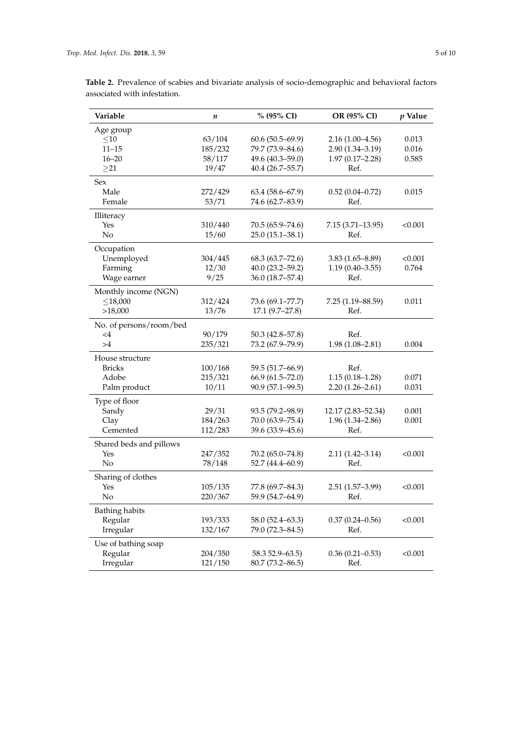| Variable                | $\boldsymbol{n}$ | % (95% CI)          | OR (95% CI)          | p Value |
|-------------------------|------------------|---------------------|----------------------|---------|
| Age group               |                  |                     |                      |         |
| $<$ 10                  | 63/104           | $60.6(50.5-69.9)$   | $2.16(1.00-4.56)$    | 0.013   |
| $11 - 15$               | 185/232          | 79.7 (73.9-84.6)    | $2.90(1.34 - 3.19)$  | 0.016   |
| $16 - 20$               | 58/117           | 49.6 (40.3–59.0)    | $1.97(0.17 - 2.28)$  | 0.585   |
| $>_{21}$                | 19/47            | 40.4(26.7–55.7)     | Ref.                 |         |
| Sex                     |                  |                     |                      |         |
| Male                    | 272/429          | 63.4 (58.6–67.9)    | $0.52(0.04 - 0.72)$  | 0.015   |
| Female                  | 53/71            | 74.6 (62.7–83.9)    | Ref.                 |         |
| Illiteracy              |                  |                     |                      |         |
| Yes                     | 310/440          | 70.5 (65.9–74.6)    | $7.15(3.71 - 13.95)$ | < 0.001 |
| No                      | 15/60            | $25.0(15.1 - 38.1)$ | Ref.                 |         |
| Occupation              |                  |                     |                      |         |
| Unemployed              | 304/445          | $68.3(63.7 - 72.6)$ | $3.83(1.65 - 8.89)$  | < 0.001 |
| Farming                 | 12/30            | $40.0(23.2 - 59.2)$ | $1.19(0.40 - 3.55)$  | 0.764   |
| Wage earner             | 9/25             | 36.0 (18.7–57.4)    | Ref.                 |         |
| Monthly income (NGN)    |                  |                     |                      |         |
| $<$ 18,000              | 312/424          | 73.6 (69.1–77.7)    | 7.25 (1.19–88.59)    | 0.011   |
| >18,000                 | 13/76            | $17.1(9.7-27.8)$    | Ref.                 |         |
| No. of persons/room/bed |                  |                     |                      |         |
| $<$ 4                   | 90/179           | 50.3 (42.8–57.8)    | Ref.                 |         |
| >4                      | 235/321          | 73.2 (67.9–79.9)    | $1.98(1.08 - 2.81)$  | 0.004   |
| House structure         |                  |                     |                      |         |
| <b>Bricks</b>           | 100/168          | 59.5 (51.7-66.9)    | Ref.                 |         |
| Adobe                   | 215/321          | $66.9(61.5 - 72.0)$ | $1.15(0.18 - 1.28)$  | 0.071   |
| Palm product            | 10/11            | 90.9 (57.1–99.5)    | $2.20(1.26-2.61)$    | 0.031   |
| Type of floor           |                  |                     |                      |         |
| Sandy                   | 29/31            | 93.5 (79.2-98.9)    | 12.17 (2.83-52.34)   | 0.001   |
| Clay                    | 184/263          | 70.0 (63.9-75.4)    | $1.96(1.34 - 2.86)$  | 0.001   |
| Cemented                | 112/283          | 39.6 (33.9–45.6)    | Ref.                 |         |
| Shared beds and pillows |                  |                     |                      |         |
| Yes                     | 247/352          | 70.2 (65.0–74.8)    | $2.11(1.42 - 3.14)$  | < 0.001 |
| No                      | 78/148           | 52.7 (44.4–60.9)    | Ref.                 |         |
| Sharing of clothes      |                  |                     |                      |         |
| Yes                     | 105/135          | 77.8 (69.7–84.3)    | $2.51(1.57-3.99)$    | < 0.001 |
| N <sub>o</sub>          | 220/367          | 59.9 (54.7–64.9)    | Ref.                 |         |
| <b>Bathing habits</b>   |                  |                     |                      |         |
| Regular                 | 193/333          | 58.0 (52.4–63.3)    | $0.37(0.24 - 0.56)$  | < 0.001 |
| Irregular               | 132/167          | 79.0 (72.3–84.5)    | Ref.                 |         |
| Use of bathing soap     |                  |                     |                      |         |
| Regular                 | 204/350          | 58.3 52.9 - 63.5)   | $0.36(0.21 - 0.53)$  | < 0.001 |
| Irregular               | 121/150          | $80.7(73.2 - 86.5)$ | Ref.                 |         |

<span id="page-4-0"></span>**Table 2.** Prevalence of scabies and bivariate analysis of socio-demographic and behavioral factors associated with infestation.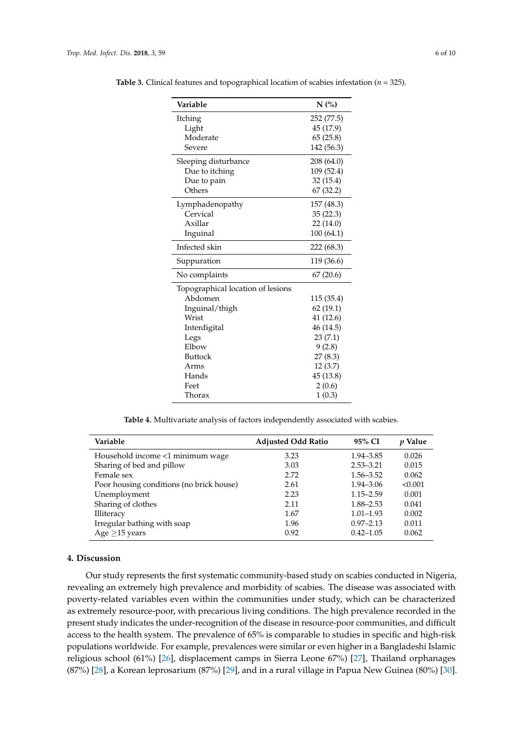| Variable                          | N(%)       |  |  |
|-----------------------------------|------------|--|--|
| Itching                           | 252 (77.5) |  |  |
| Light                             | 45 (17.9)  |  |  |
| Moderate                          | 65(25.8)   |  |  |
| Severe                            | 142 (56.3) |  |  |
| Sleeping disturbance              | 208 (64.0) |  |  |
| Due to itching                    | 109 (52.4) |  |  |
| Due to pain                       | 32 (15.4)  |  |  |
| Others                            | 67 (32.2)  |  |  |
| Lymphadenopathy                   | 157 (48.3) |  |  |
| Cervical                          | 35(22.3)   |  |  |
| Axillar                           | 22 (14.0)  |  |  |
| Inguinal                          | 100(64.1)  |  |  |
| Infected skin                     | 222 (68.3) |  |  |
| Suppuration                       | 119 (36.6) |  |  |
| No complaints                     | 67(20.6)   |  |  |
| Topographical location of lesions |            |  |  |
| Abdomen                           | 115 (35.4) |  |  |
| Inguinal/thigh                    | 62(19.1)   |  |  |
| Wrist                             | 41 (12.6)  |  |  |
| Interdigital                      | 46 (14.5)  |  |  |
| Legs                              | 23(7.1)    |  |  |
| Elbow                             | 9(2.8)     |  |  |
| <b>Buttock</b>                    | 27(8.3)    |  |  |
| Arms                              | 12(3.7)    |  |  |
| Hands                             | 45 (13.8)  |  |  |
| Feet                              | 2(0.6)     |  |  |
| Thorax                            | 1(0.3)     |  |  |

<span id="page-5-0"></span>**Table 3.** Clinical features and topographical location of scabies infestation (*n* = 325).

**Table 4.** Multivariate analysis of factors independently associated with scabies.

<span id="page-5-1"></span>

| Variable                                 | <b>Adjusted Odd Ratio</b> | 95% CI        | $p$ Value |
|------------------------------------------|---------------------------|---------------|-----------|
| Household income <1 minimum wage         | 3.23                      | 1.94–3.85     | 0.026     |
| Sharing of bed and pillow                | 3.03                      | $2.53 - 3.21$ | 0.015     |
| Female sex                               | 2.72                      | $1.56 - 3.52$ | 0.062     |
| Poor housing conditions (no brick house) | 2.61                      | $1.94 - 3.06$ | < 0.001   |
| Unemployment                             | 2.23                      | $1.15 - 2.59$ | 0.001     |
| Sharing of clothes                       | 2.11                      | $1.88 - 2.53$ | 0.041     |
| Illiteracy                               | 1.67                      | $1.01 - 1.93$ | 0.002     |
| Irregular bathing with soap              | 1.96                      | $0.97 - 2.13$ | 0.011     |
| Age $\geq$ 15 years                      | 0.92                      | $0.42 - 1.05$ | 0.062     |

# **4. Discussion**

Our study represents the first systematic community-based study on scabies conducted in Nigeria, revealing an extremely high prevalence and morbidity of scabies. The disease was associated with poverty-related variables even within the communities under study, which can be characterized as extremely resource-poor, with precarious living conditions. The high prevalence recorded in the present study indicates the under-recognition of the disease in resource-poor communities, and difficult access to the health system. The prevalence of 65% is comparable to studies in specific and high-risk populations worldwide. For example, prevalences were similar or even higher in a Bangladeshi Islamic religious school (61%) [\[26\]](#page-9-2), displacement camps in Sierra Leone 67%) [\[27\]](#page-9-3), Thailand orphanages (87%) [\[28\]](#page-9-4), a Korean leprosarium (87%) [\[29\]](#page-9-5), and in a rural village in Papua New Guinea (80%) [\[30\]](#page-9-6).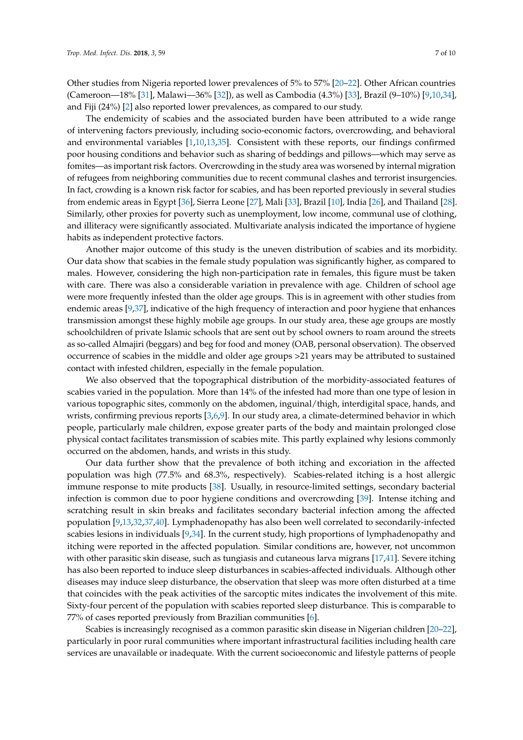Other studies from Nigeria reported lower prevalences of 5% to 57% [\[20](#page-8-15)[–22\]](#page-9-7). Other African countries (Cameroon—18% [\[31\]](#page-9-8), Malawi—36% [\[32\]](#page-9-9)), as well as Cambodia (4.3%) [\[33\]](#page-9-10), Brazil (9–10%) [\[9,](#page-8-5)[10,](#page-8-6)[34\]](#page-9-11), and Fiji (24%) [\[2\]](#page-8-1) also reported lower prevalences, as compared to our study.

The endemicity of scabies and the associated burden have been attributed to a wide range of intervening factors previously, including socio-economic factors, overcrowding, and behavioral and environmental variables [\[1,](#page-8-0)[10,](#page-8-6)[13,](#page-8-10)[35\]](#page-9-12). Consistent with these reports, our findings confirmed poor housing conditions and behavior such as sharing of beddings and pillows—which may serve as fomites—as important risk factors. Overcrowding in the study area was worsened by internal migration of refugees from neighboring communities due to recent communal clashes and terrorist insurgencies. In fact, crowding is a known risk factor for scabies, and has been reported previously in several studies from endemic areas in Egypt [\[36\]](#page-9-13), Sierra Leone [\[27\]](#page-9-3), Mali [\[33\]](#page-9-10), Brazil [\[10\]](#page-8-6), India [\[26\]](#page-9-2), and Thailand [\[28\]](#page-9-4). Similarly, other proxies for poverty such as unemployment, low income, communal use of clothing, and illiteracy were significantly associated. Multivariate analysis indicated the importance of hygiene habits as independent protective factors.

Another major outcome of this study is the uneven distribution of scabies and its morbidity. Our data show that scabies in the female study population was significantly higher, as compared to males. However, considering the high non-participation rate in females, this figure must be taken with care. There was also a considerable variation in prevalence with age. Children of school age were more frequently infested than the older age groups. This is in agreement with other studies from endemic areas [\[9,](#page-8-5)[37\]](#page-9-14), indicative of the high frequency of interaction and poor hygiene that enhances transmission amongst these highly mobile age groups. In our study area, these age groups are mostly schoolchildren of private Islamic schools that are sent out by school owners to roam around the streets as so-called Almajiri (beggars) and beg for food and money (OAB, personal observation). The observed occurrence of scabies in the middle and older age groups >21 years may be attributed to sustained contact with infested children, especially in the female population.

We also observed that the topographical distribution of the morbidity-associated features of scabies varied in the population. More than 14% of the infested had more than one type of lesion in various topographic sites, commonly on the abdomen, inguinal/thigh, interdigital space, hands, and wrists, confirming previous reports [\[3,](#page-8-2)[6,](#page-8-3)[9\]](#page-8-5). In our study area, a climate-determined behavior in which people, particularly male children, expose greater parts of the body and maintain prolonged close physical contact facilitates transmission of scabies mite. This partly explained why lesions commonly occurred on the abdomen, hands, and wrists in this study.

Our data further show that the prevalence of both itching and excoriation in the affected population was high (77.5% and 68.3%, respectively). Scabies-related itching is a host allergic immune response to mite products [\[38\]](#page-9-15). Usually, in resource-limited settings, secondary bacterial infection is common due to poor hygiene conditions and overcrowding [\[39\]](#page-9-16). Intense itching and scratching result in skin breaks and facilitates secondary bacterial infection among the affected population [\[9](#page-8-5)[,13](#page-8-10)[,32](#page-9-9)[,37](#page-9-14)[,40\]](#page-9-17). Lymphadenopathy has also been well correlated to secondarily-infected scabies lesions in individuals [\[9,](#page-8-5)[34\]](#page-9-11). In the current study, high proportions of lymphadenopathy and itching were reported in the affected population. Similar conditions are, however, not uncommon with other parasitic skin disease, such as tungiasis and cutaneous larva migrans [\[17,](#page-8-13)[41\]](#page-9-18). Severe itching has also been reported to induce sleep disturbances in scabies-affected individuals. Although other diseases may induce sleep disturbance, the observation that sleep was more often disturbed at a time that coincides with the peak activities of the sarcoptic mites indicates the involvement of this mite. Sixty-four percent of the population with scabies reported sleep disturbance. This is comparable to 77% of cases reported previously from Brazilian communities [\[6\]](#page-8-3).

Scabies is increasingly recognised as a common parasitic skin disease in Nigerian children [\[20](#page-8-15)[–22\]](#page-9-7), particularly in poor rural communities where important infrastructural facilities including health care services are unavailable or inadequate. With the current socioeconomic and lifestyle patterns of people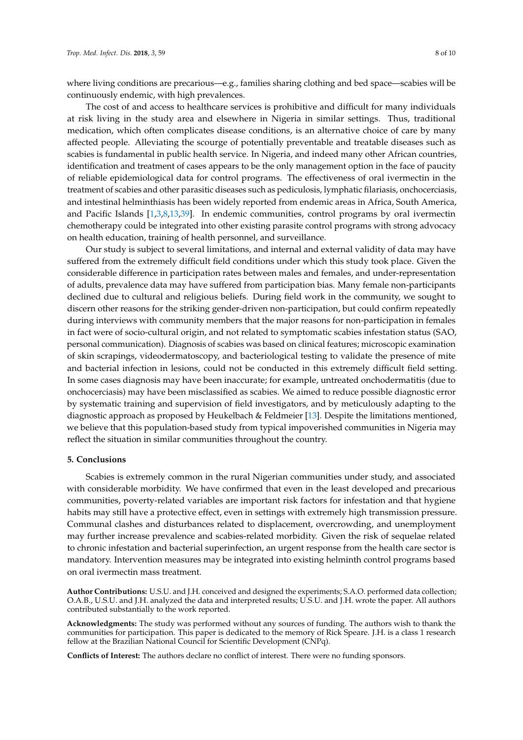where living conditions are precarious—e.g., families sharing clothing and bed space—scabies will be continuously endemic, with high prevalences.

The cost of and access to healthcare services is prohibitive and difficult for many individuals at risk living in the study area and elsewhere in Nigeria in similar settings. Thus, traditional medication, which often complicates disease conditions, is an alternative choice of care by many affected people. Alleviating the scourge of potentially preventable and treatable diseases such as scabies is fundamental in public health service. In Nigeria, and indeed many other African countries, identification and treatment of cases appears to be the only management option in the face of paucity of reliable epidemiological data for control programs. The effectiveness of oral ivermectin in the treatment of scabies and other parasitic diseases such as pediculosis, lymphatic filariasis, onchocerciasis, and intestinal helminthiasis has been widely reported from endemic areas in Africa, South America, and Pacific Islands [\[1](#page-8-0)[,3](#page-8-2)[,8](#page-8-8)[,13](#page-8-10)[,39\]](#page-9-16). In endemic communities, control programs by oral ivermectin chemotherapy could be integrated into other existing parasite control programs with strong advocacy on health education, training of health personnel, and surveillance.

Our study is subject to several limitations, and internal and external validity of data may have suffered from the extremely difficult field conditions under which this study took place. Given the considerable difference in participation rates between males and females, and under-representation of adults, prevalence data may have suffered from participation bias. Many female non-participants declined due to cultural and religious beliefs. During field work in the community, we sought to discern other reasons for the striking gender-driven non-participation, but could confirm repeatedly during interviews with community members that the major reasons for non-participation in females in fact were of socio-cultural origin, and not related to symptomatic scabies infestation status (SAO, personal communication). Diagnosis of scabies was based on clinical features; microscopic examination of skin scrapings, videodermatoscopy, and bacteriological testing to validate the presence of mite and bacterial infection in lesions, could not be conducted in this extremely difficult field setting. In some cases diagnosis may have been inaccurate; for example, untreated onchodermatitis (due to onchocerciasis) may have been misclassified as scabies. We aimed to reduce possible diagnostic error by systematic training and supervision of field investigators, and by meticulously adapting to the diagnostic approach as proposed by Heukelbach & Feldmeier [\[13\]](#page-8-10). Despite the limitations mentioned, we believe that this population-based study from typical impoverished communities in Nigeria may reflect the situation in similar communities throughout the country.

## **5. Conclusions**

Scabies is extremely common in the rural Nigerian communities under study, and associated with considerable morbidity. We have confirmed that even in the least developed and precarious communities, poverty-related variables are important risk factors for infestation and that hygiene habits may still have a protective effect, even in settings with extremely high transmission pressure. Communal clashes and disturbances related to displacement, overcrowding, and unemployment may further increase prevalence and scabies-related morbidity. Given the risk of sequelae related to chronic infestation and bacterial superinfection, an urgent response from the health care sector is mandatory. Intervention measures may be integrated into existing helminth control programs based on oral ivermectin mass treatment.

**Author Contributions:** U.S.U. and J.H. conceived and designed the experiments; S.A.O. performed data collection; O.A.B., U.S.U. and J.H. analyzed the data and interpreted results; U.S.U. and J.H. wrote the paper. All authors contributed substantially to the work reported.

**Acknowledgments:** The study was performed without any sources of funding. The authors wish to thank the communities for participation. This paper is dedicated to the memory of Rick Speare. J.H. is a class 1 research fellow at the Brazilian National Council for Scientific Development (CNPq).

**Conflicts of Interest:** The authors declare no conflict of interest. There were no funding sponsors.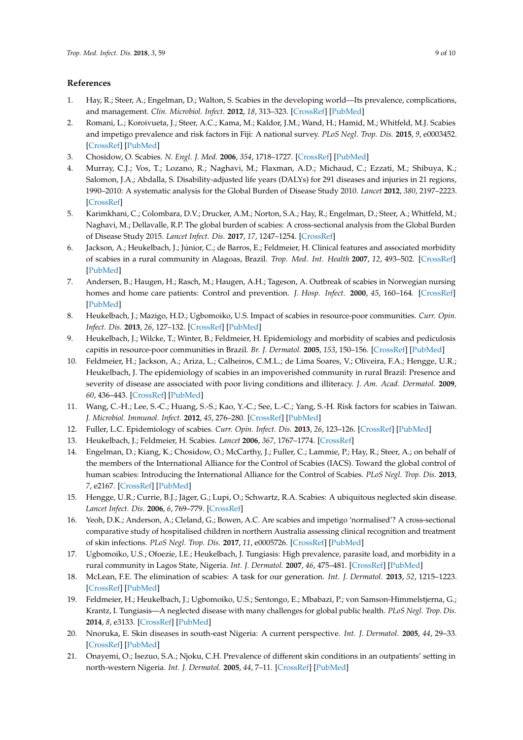## **References**

- <span id="page-8-0"></span>1. Hay, R.; Steer, A.; Engelman, D.; Walton, S. Scabies in the developing world—Its prevalence, complications, and management. *Clin. Microbiol. Infect.* **2012**, *18*, 313–323. [\[CrossRef\]](http://dx.doi.org/10.1111/j.1469-0691.2012.03798.x) [\[PubMed\]](http://www.ncbi.nlm.nih.gov/pubmed/22429456)
- <span id="page-8-1"></span>2. Romani, L.; Koroivueta, J.; Steer, A.C.; Kama, M.; Kaldor, J.M.; Wand, H.; Hamid, M.; Whitfeld, M.J. Scabies and impetigo prevalence and risk factors in Fiji: A national survey. *PLoS Negl. Trop. Dis.* **2015**, *9*, e0003452. [\[CrossRef\]](http://dx.doi.org/10.1371/journal.pntd.0003452) [\[PubMed\]](http://www.ncbi.nlm.nih.gov/pubmed/25738499)
- <span id="page-8-2"></span>3. Chosidow, O. Scabies. *N. Engl. J. Med.* **2006**, *354*, 1718–1727. [\[CrossRef\]](http://dx.doi.org/10.1056/NEJMcp052784) [\[PubMed\]](http://www.ncbi.nlm.nih.gov/pubmed/16625010)
- 4. Murray, C.J.; Vos, T.; Lozano, R.; Naghavi, M.; Flaxman, A.D.; Michaud, C.; Ezzati, M.; Shibuya, K.; Salomon, J.A.; Abdalla, S. Disability-adjusted life years (DALYs) for 291 diseases and injuries in 21 regions, 1990–2010: A systematic analysis for the Global Burden of Disease Study 2010. *Lancet* **2012**, *380*, 2197–2223. [\[CrossRef\]](http://dx.doi.org/10.1016/S0140-6736(12)61689-4)
- 5. Karimkhani, C.; Colombara, D.V.; Drucker, A.M.; Norton, S.A.; Hay, R.; Engelman, D.; Steer, A.; Whitfeld, M.; Naghavi, M.; Dellavalle, R.P. The global burden of scabies: A cross-sectional analysis from the Global Burden of Disease Study 2015. *Lancet Infect. Dis.* **2017**, *17*, 1247–1254. [\[CrossRef\]](http://dx.doi.org/10.1016/S1473-3099(17)30483-8)
- <span id="page-8-3"></span>6. Jackson, A.; Heukelbach, J.; Júnior, C.; de Barros, E.; Feldmeier, H. Clinical features and associated morbidity of scabies in a rural community in Alagoas, Brazil. *Trop. Med. Int. Health* **2007**, *12*, 493–502. [\[CrossRef\]](http://dx.doi.org/10.1111/j.1365-3156.2006.01809.x) [\[PubMed\]](http://www.ncbi.nlm.nih.gov/pubmed/17445140)
- <span id="page-8-4"></span>7. Andersen, B.; Haugen, H.; Rasch, M.; Haugen, A.H.; Tageson, A. Outbreak of scabies in Norwegian nursing homes and home care patients: Control and prevention. *J. Hosp. Infect.* **2000**, *45*, 160–164. [\[CrossRef\]](http://dx.doi.org/10.1053/jhin.1999.0716) [\[PubMed\]](http://www.ncbi.nlm.nih.gov/pubmed/10860693)
- <span id="page-8-8"></span>8. Heukelbach, J.; Mazigo, H.D.; Ugbomoiko, U.S. Impact of scabies in resource-poor communities. *Curr. Opin. Infect. Dis.* **2013**, *26*, 127–132. [\[CrossRef\]](http://dx.doi.org/10.1097/QCO.0b013e32835e847b) [\[PubMed\]](http://www.ncbi.nlm.nih.gov/pubmed/23343887)
- <span id="page-8-5"></span>9. Heukelbach, J.; Wilcke, T.; Winter, B.; Feldmeier, H. Epidemiology and morbidity of scabies and pediculosis capitis in resource-poor communities in Brazil. *Br. J. Dermatol.* **2005**, *153*, 150–156. [\[CrossRef\]](http://dx.doi.org/10.1111/j.1365-2133.2005.06591.x) [\[PubMed\]](http://www.ncbi.nlm.nih.gov/pubmed/16029341)
- <span id="page-8-6"></span>10. Feldmeier, H.; Jackson, A.; Ariza, L.; Calheiros, C.M.L.; de Lima Soares, V.; Oliveira, F.A.; Hengge, U.R.; Heukelbach, J. The epidemiology of scabies in an impoverished community in rural Brazil: Presence and severity of disease are associated with poor living conditions and illiteracy. *J. Am. Acad. Dermatol.* **2009**, *60*, 436–443. [\[CrossRef\]](http://dx.doi.org/10.1016/j.jaad.2008.11.005) [\[PubMed\]](http://www.ncbi.nlm.nih.gov/pubmed/19064303)
- <span id="page-8-7"></span>11. Wang, C.-H.; Lee, S.-C.; Huang, S.-S.; Kao, Y.-C.; See, L.-C.; Yang, S.-H. Risk factors for scabies in Taiwan. *J. Microbiol. Immunol. Infect.* **2012**, *45*, 276–280. [\[CrossRef\]](http://dx.doi.org/10.1016/j.jmii.2011.12.003) [\[PubMed\]](http://www.ncbi.nlm.nih.gov/pubmed/22444547)
- <span id="page-8-9"></span>12. Fuller, L.C. Epidemiology of scabies. *Curr. Opin. Infect. Dis.* **2013**, *26*, 123–126. [\[CrossRef\]](http://dx.doi.org/10.1097/QCO.0b013e32835eb851) [\[PubMed\]](http://www.ncbi.nlm.nih.gov/pubmed/23411418)
- <span id="page-8-10"></span>13. Heukelbach, J.; Feldmeier, H. Scabies. *Lancet* **2006**, *367*, 1767–1774. [\[CrossRef\]](http://dx.doi.org/10.1016/S0140-6736(06)68772-2)
- 14. Engelman, D.; Kiang, K.; Chosidow, O.; McCarthy, J.; Fuller, C.; Lammie, P.; Hay, R.; Steer, A.; on behalf of the members of the International Alliance for the Control of Scabies (IACS). Toward the global control of human scabies: Introducing the International Alliance for the Control of Scabies. *PLoS Negl. Trop. Dis.* **2013**, *7*, e2167. [\[CrossRef\]](http://dx.doi.org/10.1371/journal.pntd.0002167) [\[PubMed\]](http://www.ncbi.nlm.nih.gov/pubmed/23951369)
- <span id="page-8-11"></span>15. Hengge, U.R.; Currie, B.J.; Jäger, G.; Lupi, O.; Schwartz, R.A. Scabies: A ubiquitous neglected skin disease. *Lancet Infect. Dis.* **2006**, *6*, 769–779. [\[CrossRef\]](http://dx.doi.org/10.1016/S1473-3099(06)70654-5)
- <span id="page-8-12"></span>16. Yeoh, D.K.; Anderson, A.; Cleland, G.; Bowen, A.C. Are scabies and impetigo 'normalised'? A cross-sectional comparative study of hospitalised children in northern Australia assessing clinical recognition and treatment of skin infections. *PLoS Negl. Trop. Dis.* **2017**, *11*, e0005726. [\[CrossRef\]](http://dx.doi.org/10.1371/journal.pntd.0005726) [\[PubMed\]](http://www.ncbi.nlm.nih.gov/pubmed/28671945)
- <span id="page-8-13"></span>17. Ugbomoiko, U.S.; Ofoezie, I.E.; Heukelbach, J. Tungiasis: High prevalence, parasite load, and morbidity in a rural community in Lagos State, Nigeria. *Int. J. Dermatol.* **2007**, *46*, 475–481. [\[CrossRef\]](http://dx.doi.org/10.1111/j.1365-4632.2007.03245.x) [\[PubMed\]](http://www.ncbi.nlm.nih.gov/pubmed/17472674)
- 18. McLean, F.E. The elimination of scabies: A task for our generation. *Int. J. Dermatol.* **2013**, *52*, 1215–1223. [\[CrossRef\]](http://dx.doi.org/10.1111/ijd.12101) [\[PubMed\]](http://www.ncbi.nlm.nih.gov/pubmed/23834401)
- <span id="page-8-14"></span>19. Feldmeier, H.; Heukelbach, J.; Ugbomoiko, U.S.; Sentongo, E.; Mbabazi, P.; von Samson-Himmelstjerna, G.; Krantz, I. Tungiasis—A neglected disease with many challenges for global public health. *PLoS Negl. Trop. Dis.* **2014**, *8*, e3133. [\[CrossRef\]](http://dx.doi.org/10.1371/journal.pntd.0003133) [\[PubMed\]](http://www.ncbi.nlm.nih.gov/pubmed/25356978)
- <span id="page-8-15"></span>20. Nnoruka, E. Skin diseases in south-east Nigeria: A current perspective. *Int. J. Dermatol.* **2005**, *44*, 29–33. [\[CrossRef\]](http://dx.doi.org/10.1111/j.1365-4632.2004.02485.x) [\[PubMed\]](http://www.ncbi.nlm.nih.gov/pubmed/15663655)
- 21. Onayemi, O.; Isezuo, S.A.; Njoku, C.H. Prevalence of different skin conditions in an outpatients' setting in north-western Nigeria. *Int. J. Dermatol.* **2005**, *44*, 7–11. [\[CrossRef\]](http://dx.doi.org/10.1111/j.1365-4632.2004.02298.x) [\[PubMed\]](http://www.ncbi.nlm.nih.gov/pubmed/15663650)